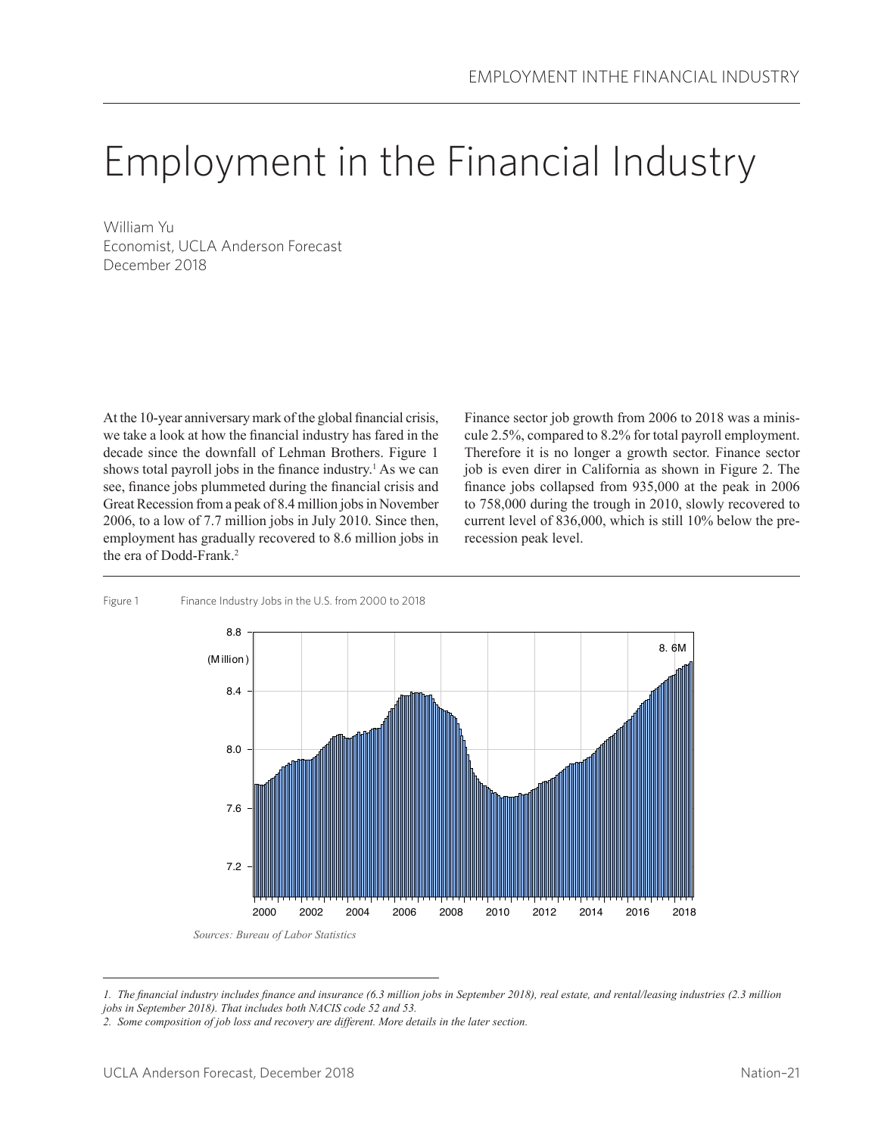# Employment in the Financial Industry

William Yu Economist, UCLA Anderson Forecast December 2018

At the 10-year anniversary mark of the global financial crisis, we take a look at how the financial industry has fared in the decade since the downfall of Lehman Brothers. Figure 1 shows total payroll jobs in the finance industry.<sup>1</sup> As we can see, finance jobs plummeted during the financial crisis and Great Recession from a peak of 8.4 million jobs in November 2006, to a low of 7.7 million jobs in July 2010. Since then, employment has gradually recovered to 8.6 million jobs in the era of Dodd-Frank.<sup>2</sup>

Finance sector job growth from 2006 to 2018 was a miniscule 2.5%, compared to 8.2% for total payroll employment. Therefore it is no longer a growth sector. Finance sector job is even direr in California as shown in Figure 2. The finance jobs collapsed from 935,000 at the peak in 2006 to 758,000 during the trough in 2010, slowly recovered to current level of 836,000, which is still 10% below the prerecession peak level.



#### Figure 1 Finance Industry Jobs in the U.S. from 2000 to 2018

*<sup>1.</sup> The financial industry includes finance and insurance (6.3 million jobs in September 2018), real estate, and rental/leasing industries (2.3 million jobs in September 2018). That includes both NACIS code 52 and 53.*

*<sup>2.</sup> Some composition of job loss and recovery are different. More details in the later section.*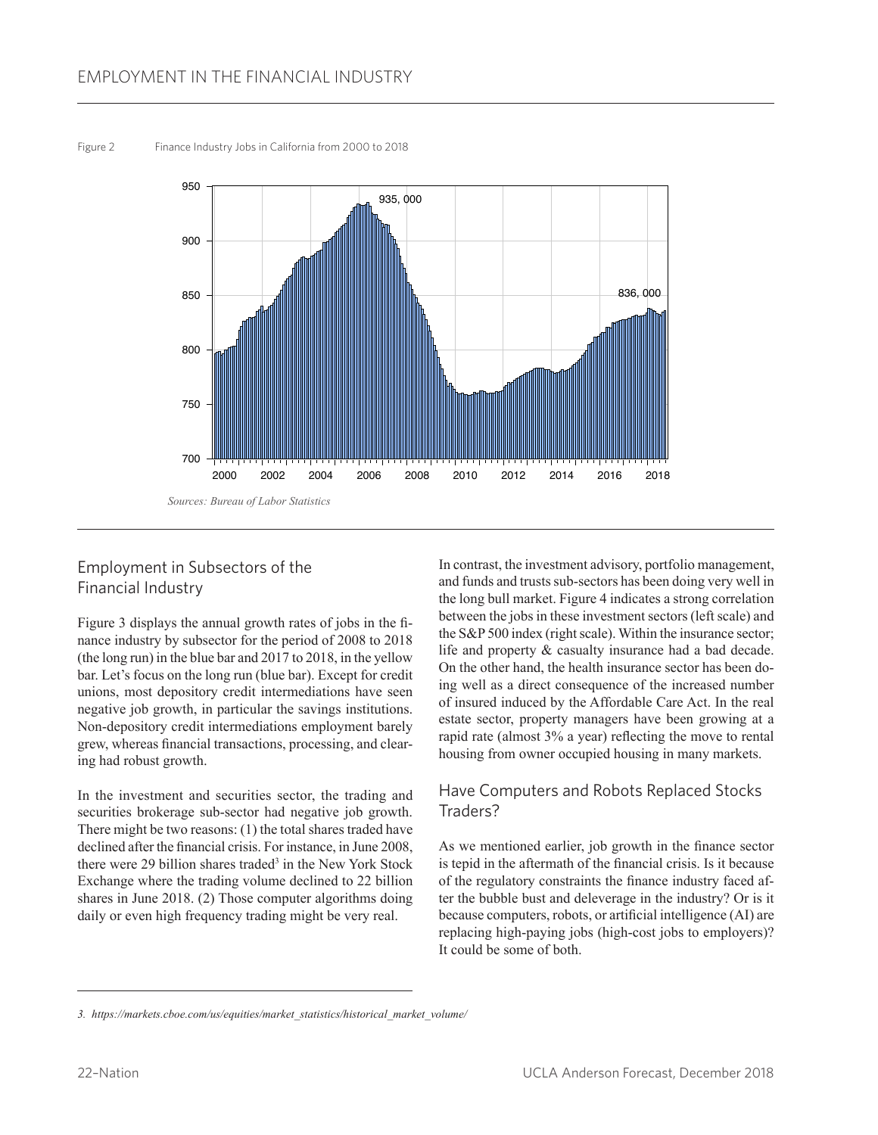Figure 2 Finance Industry Jobs in California from 2000 to 2018



# Employment in Subsectors of the Financial Industry

Figure 3 displays the annual growth rates of jobs in the finance industry by subsector for the period of 2008 to 2018 (the long run) in the blue bar and 2017 to 2018, in the yellow bar. Let's focus on the long run (blue bar). Except for credit unions, most depository credit intermediations have seen negative job growth, in particular the savings institutions. Non-depository credit intermediations employment barely grew, whereas financial transactions, processing, and clearing had robust growth.

In the investment and securities sector, the trading and securities brokerage sub-sector had negative job growth. There might be two reasons: (1) the total shares traded have declined after the financial crisis. For instance, in June 2008, there were 29 billion shares traded<sup>3</sup> in the New York Stock Exchange where the trading volume declined to 22 billion shares in June 2018. (2) Those computer algorithms doing daily or even high frequency trading might be very real.

In contrast, the investment advisory, portfolio management, and funds and trusts sub-sectors has been doing very well in the long bull market. Figure 4 indicates a strong correlation between the jobs in these investment sectors (left scale) and the S&P 500 index (right scale). Within the insurance sector; life and property & casualty insurance had a bad decade. On the other hand, the health insurance sector has been doing well as a direct consequence of the increased number of insured induced by the Affordable Care Act. In the real estate sector, property managers have been growing at a rapid rate (almost 3% a year) reflecting the move to rental housing from owner occupied housing in many markets.

# Have Computers and Robots Replaced Stocks Traders?

As we mentioned earlier, job growth in the finance sector is tepid in the aftermath of the financial crisis. Is it because of the regulatory constraints the finance industry faced after the bubble bust and deleverage in the industry? Or is it because computers, robots, or artificial intelligence (AI) are replacing high-paying jobs (high-cost jobs to employers)? It could be some of both.

*<sup>3.</sup> https://markets.cboe.com/us/equities/market\_statistics/historical\_market\_volume/*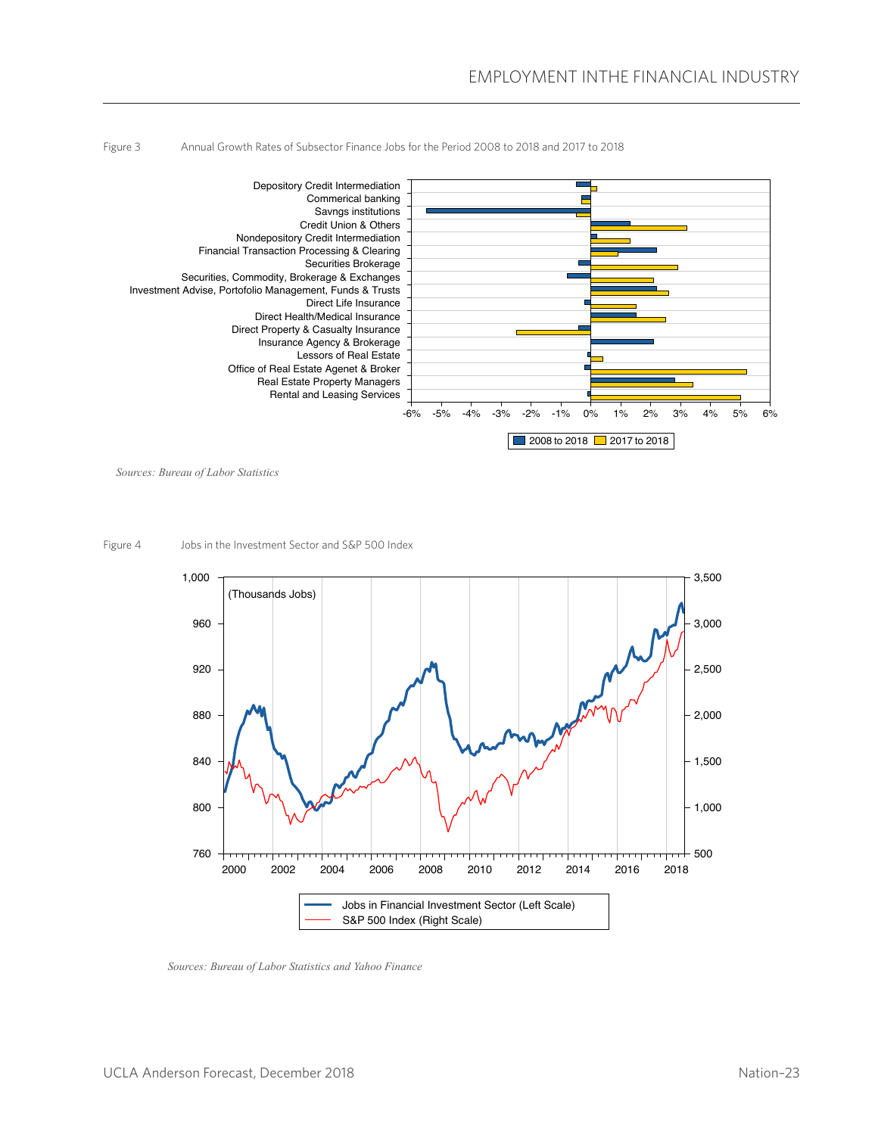



*Sources: Bureau of Labor Statistics*

Figure 4 Jobs in the Investment Sector and S&P 500 Index



*Sources: Bureau of Labor Statistics and Yahoo Finance*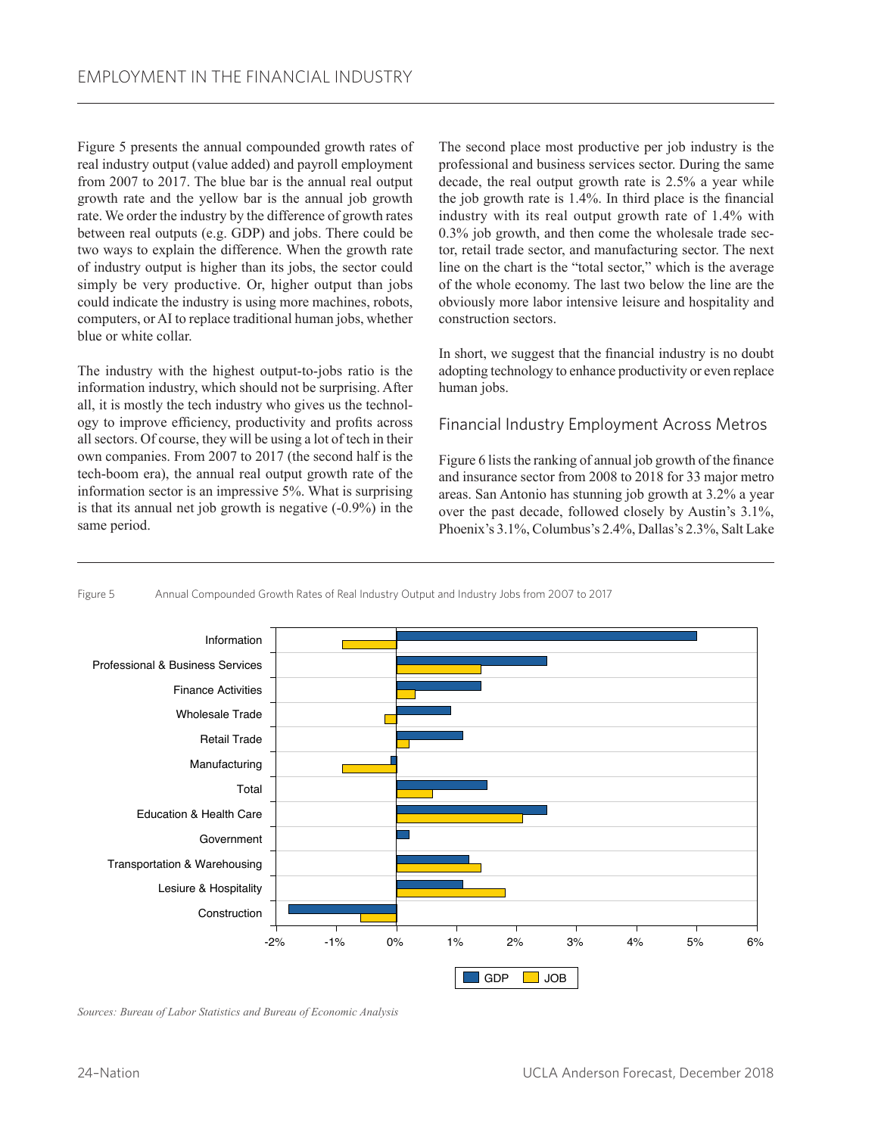Figure 5 presents the annual compounded growth rates of real industry output (value added) and payroll employment from 2007 to 2017. The blue bar is the annual real output growth rate and the yellow bar is the annual job growth rate. We order the industry by the difference of growth rates between real outputs (e.g. GDP) and jobs. There could be two ways to explain the difference. When the growth rate of industry output is higher than its jobs, the sector could simply be very productive. Or, higher output than jobs could indicate the industry is using more machines, robots, computers, or AI to replace traditional human jobs, whether blue or white collar.

The industry with the highest output-to-jobs ratio is the information industry, which should not be surprising. After all, it is mostly the tech industry who gives us the technology to improve efficiency, productivity and profits across all sectors. Of course, they will be using a lot of tech in their own companies. From 2007 to 2017 (the second half is the tech-boom era), the annual real output growth rate of the information sector is an impressive 5%. What is surprising is that its annual net job growth is negative (-0.9%) in the same period.

The second place most productive per job industry is the professional and business services sector. During the same decade, the real output growth rate is 2.5% a year while the job growth rate is 1.4%. In third place is the financial industry with its real output growth rate of 1.4% with 0.3% job growth, and then come the wholesale trade sector, retail trade sector, and manufacturing sector. The next line on the chart is the "total sector," which is the average of the whole economy. The last two below the line are the obviously more labor intensive leisure and hospitality and construction sectors.

In short, we suggest that the financial industry is no doubt adopting technology to enhance productivity or even replace human jobs.

### Financial Industry Employment Across Metros

Figure 6 lists the ranking of annual job growth of the finance and insurance sector from 2008 to 2018 for 33 major metro areas. San Antonio has stunning job growth at 3.2% a year over the past decade, followed closely by Austin's 3.1%, Phoenix's 3.1%, Columbus's 2.4%, Dallas's 2.3%, Salt Lake



#### Figure 5 Annual Compounded Growth Rates of Real Industry Output and Industry Jobs from 2007 to 2017

*Sources: Bureau of Labor Statistics and Bureau of Economic Analysis*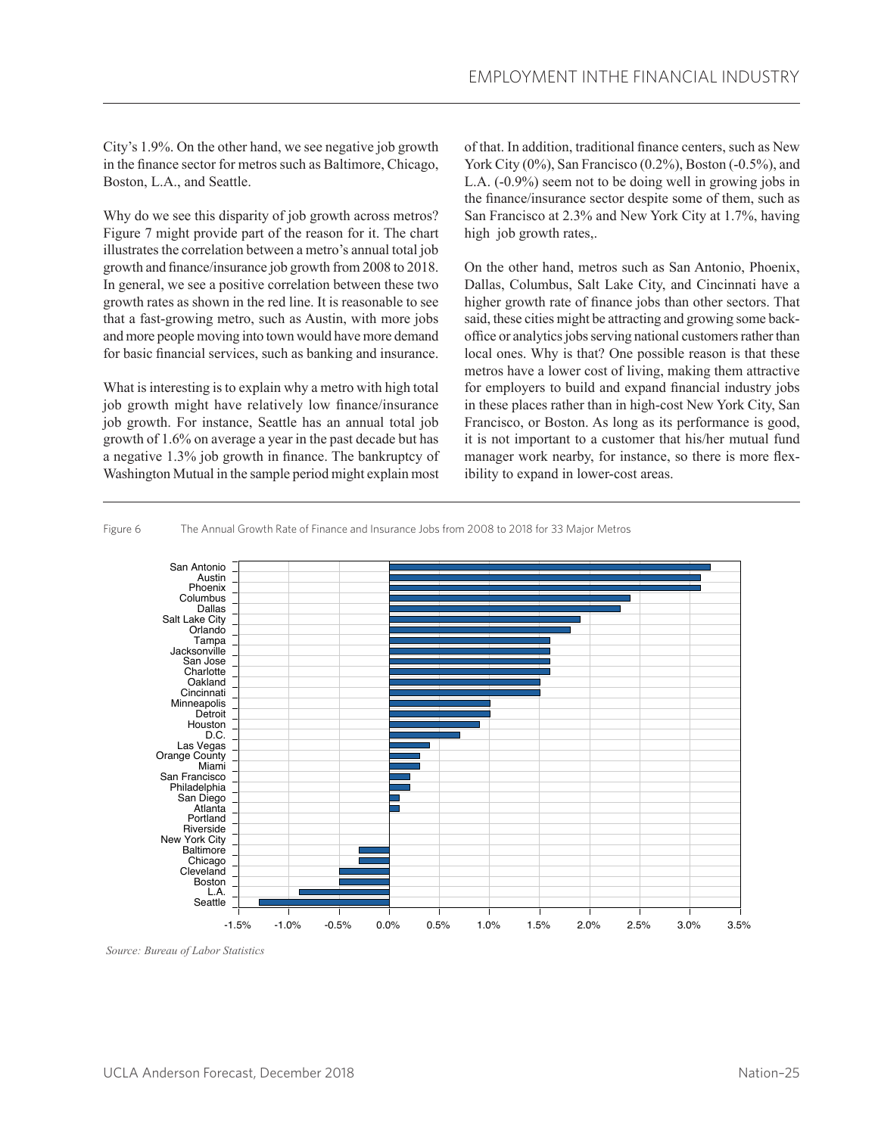City's 1.9%. On the other hand, we see negative job growth in the finance sector for metros such as Baltimore, Chicago, Boston, L.A., and Seattle.

Why do we see this disparity of job growth across metros? Figure 7 might provide part of the reason for it. The chart illustrates the correlation between a metro's annual total job growth and finance/insurance job growth from 2008 to 2018. In general, we see a positive correlation between these two growth rates as shown in the red line. It is reasonable to see that a fast-growing metro, such as Austin, with more jobs and more people moving into town would have more demand for basic financial services, such as banking and insurance.

What is interesting is to explain why a metro with high total job growth might have relatively low finance/insurance job growth. For instance, Seattle has an annual total job growth of 1.6% on average a year in the past decade but has a negative 1.3% job growth in finance. The bankruptcy of Washington Mutual in the sample period might explain most of that. In addition, traditional finance centers, such as New York City (0%), San Francisco (0.2%), Boston (-0.5%), and L.A. (-0.9%) seem not to be doing well in growing jobs in the finance/insurance sector despite some of them, such as San Francisco at 2.3% and New York City at 1.7%, having high job growth rates,.

On the other hand, metros such as San Antonio, Phoenix, Dallas, Columbus, Salt Lake City, and Cincinnati have a higher growth rate of finance jobs than other sectors. That said, these cities might be attracting and growing some backoffice or analytics jobs serving national customers rather than local ones. Why is that? One possible reason is that these metros have a lower cost of living, making them attractive for employers to build and expand financial industry jobs in these places rather than in high-cost New York City, San Francisco, or Boston. As long as its performance is good, it is not important to a customer that his/her mutual fund manager work nearby, for instance, so there is more flexibility to expand in lower-cost areas.

Figure 6 The Annual Growth Rate of Finance and Insurance Jobs from 2008 to 2018 for 33 Major Metros



 *Source: Bureau of Labor Statistics*